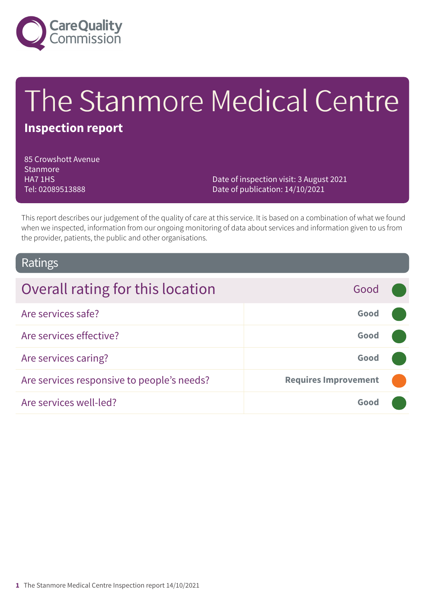

# The Stanmore Medical Centre

### **Inspection report**

85 Crowshott Avenue **Stanmore** HA7 1HS Tel: 02089513888

Date of inspection visit: 3 August 2021 Date of publication: 14/10/2021

This report describes our judgement of the quality of care at this service. It is based on a combination of what we found when we inspected, information from our ongoing monitoring of data about services and information given to us from the provider, patients, the public and other organisations.

### Ratings

| Overall rating for this location           | Good                        |  |
|--------------------------------------------|-----------------------------|--|
| Are services safe?                         | Good                        |  |
| Are services effective?                    | Good                        |  |
| Are services caring?                       | Good                        |  |
| Are services responsive to people's needs? | <b>Requires Improvement</b> |  |
| Are services well-led?                     | Good                        |  |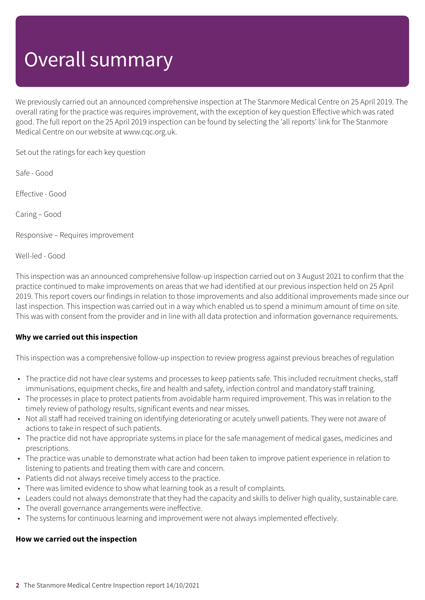# Overall summary

We previously carried out an announced comprehensive inspection at The Stanmore Medical Centre on 25 April 2019. The overall rating for the practice was requires improvement, with the exception of key question Effective which was rated good. The full report on the 25 April 2019 inspection can be found by selecting the 'all reports' link for The Stanmore Medical Centre on our website at www.cqc.org.uk.

Set out the ratings for each key question

Safe - Good

Effective - Good

Caring – Good

Responsive – Requires improvement

Well-led - Good

This inspection was an announced comprehensive follow-up inspection carried out on 3 August 2021 to confirm that the practice continued to make improvements on areas that we had identified at our previous inspection held on 25 April 2019. This report covers our findings in relation to those improvements and also additional improvements made since our last inspection. This inspection was carried out in a way which enabled us to spend a minimum amount of time on site. This was with consent from the provider and in line with all data protection and information governance requirements.

#### **Why we carried out this inspection**

This inspection was a comprehensive follow-up inspection to review progress against previous breaches of regulation

- The practice did not have clear systems and processes to keep patients safe. This included recruitment checks, staff immunisations, equipment checks, fire and health and safety, infection control and mandatory staff training.
- The processes in place to protect patients from avoidable harm required improvement. This was in relation to the timely review of pathology results, significant events and near misses.
- Not all staff had received training on identifying deteriorating or acutely unwell patients. They were not aware of actions to take in respect of such patients.
- The practice did not have appropriate systems in place for the safe management of medical gases, medicines and prescriptions.
- The practice was unable to demonstrate what action had been taken to improve patient experience in relation to listening to patients and treating them with care and concern.
- Patients did not always receive timely access to the practice.
- There was limited evidence to show what learning took as a result of complaints.
- Leaders could not always demonstrate that they had the capacity and skills to deliver high quality, sustainable care.
- The overall governance arrangements were ineffective.
- The systems for continuous learning and improvement were not always implemented effectively.

#### **How we carried out the inspection**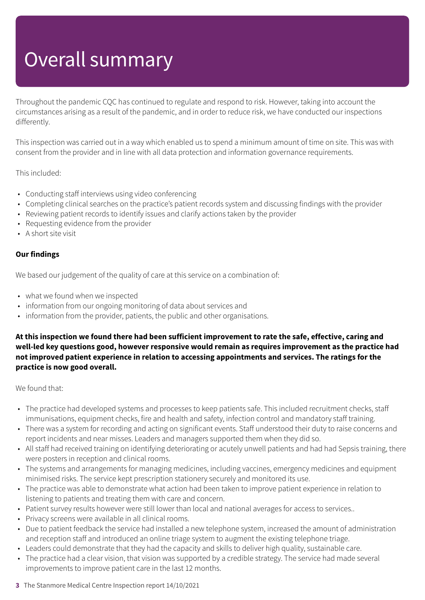# Overall summary

Throughout the pandemic CQC has continued to regulate and respond to risk. However, taking into account the circumstances arising as a result of the pandemic, and in order to reduce risk, we have conducted our inspections differently.

This inspection was carried out in a way which enabled us to spend a minimum amount of time on site. This was with consent from the provider and in line with all data protection and information governance requirements.

This included:

- Conducting staff interviews using video conferencing
- Completing clinical searches on the practice's patient records system and discussing findings with the provider
- Reviewing patient records to identify issues and clarify actions taken by the provider
- Requesting evidence from the provider
- A short site visit

#### **Our findings**

We based our judgement of the quality of care at this service on a combination of:

- what we found when we inspected
- information from our ongoing monitoring of data about services and
- information from the provider, patients, the public and other organisations.

**At this inspection we found there had been sufficient improvement to rate the safe, effective, caring and well-led key questions good, however responsive would remain as requires improvement as the practice had not improved patient experience in relation to accessing appointments and services. The ratings for the practice is now good overall.**

We found that:

- The practice had developed systems and processes to keep patients safe. This included recruitment checks, staff immunisations, equipment checks, fire and health and safety, infection control and mandatory staff training.
- There was a system for recording and acting on significant events. Staff understood their duty to raise concerns and report incidents and near misses. Leaders and managers supported them when they did so.
- All staff had received training on identifying deteriorating or acutely unwell patients and had had Sepsis training, there were posters in reception and clinical rooms.
- The systems and arrangements for managing medicines, including vaccines, emergency medicines and equipment minimised risks. The service kept prescription stationery securely and monitored its use.
- The practice was able to demonstrate what action had been taken to improve patient experience in relation to listening to patients and treating them with care and concern.
- Patient survey results however were still lower than local and national averages for access to services..
- Privacy screens were available in all clinical rooms.
- Due to patient feedback the service had installed a new telephone system, increased the amount of administration and reception staff and introduced an online triage system to augment the existing telephone triage.
- Leaders could demonstrate that they had the capacity and skills to deliver high quality, sustainable care.
- The practice had a clear vision, that vision was supported by a credible strategy. The service had made several improvements to improve patient care in the last 12 months.
- **3** The Stanmore Medical Centre Inspection report 14/10/2021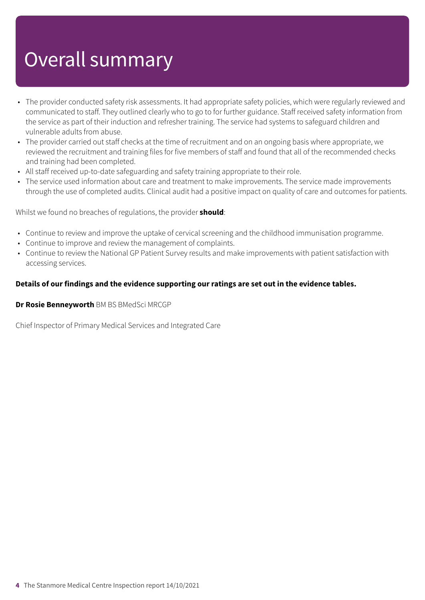# Overall summary

- The provider conducted safety risk assessments. It had appropriate safety policies, which were regularly reviewed and communicated to staff. They outlined clearly who to go to for further guidance. Staff received safety information from the service as part of their induction and refresher training. The service had systems to safeguard children and vulnerable adults from abuse.
- The provider carried out staff checks at the time of recruitment and on an ongoing basis where appropriate, we reviewed the recruitment and training files for five members of staff and found that all of the recommended checks and training had been completed.
- All staff received up-to-date safeguarding and safety training appropriate to their role.
- The service used information about care and treatment to make improvements. The service made improvements through the use of completed audits. Clinical audit had a positive impact on quality of care and outcomes for patients.

Whilst we found no breaches of regulations, the provider **should**:

- Continue to review and improve the uptake of cervical screening and the childhood immunisation programme.
- Continue to improve and review the management of complaints.
- Continue to review the National GP Patient Survey results and make improvements with patient satisfaction with accessing services.

#### **Details of our findings and the evidence supporting our ratings are set out in the evidence tables.**

#### **Dr Rosie Benneyworth** BM BS BMedSci MRCGP

Chief Inspector of Primary Medical Services and Integrated Care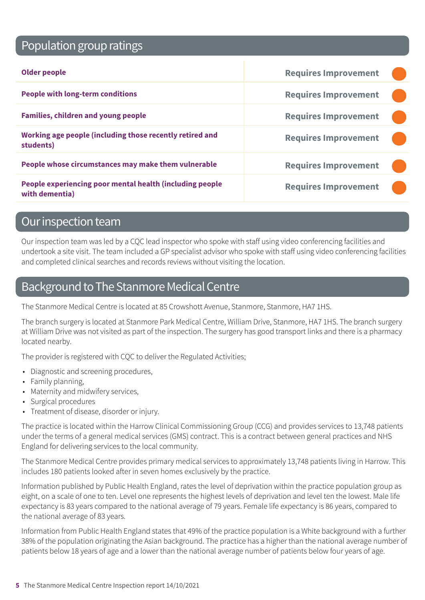# Population group ratings

| <b>Older people</b>                                                        | <b>Requires Improvement</b> |  |
|----------------------------------------------------------------------------|-----------------------------|--|
| <b>People with long-term conditions</b>                                    | <b>Requires Improvement</b> |  |
| <b>Families, children and young people</b>                                 | <b>Requires Improvement</b> |  |
| Working age people (including those recently retired and<br>students)      | <b>Requires Improvement</b> |  |
| People whose circumstances may make them vulnerable                        | <b>Requires Improvement</b> |  |
| People experiencing poor mental health (including people<br>with dementia) | <b>Requires Improvement</b> |  |

### Our inspection team

Our inspection team was led by a CQC lead inspector who spoke with staff using video conferencing facilities and undertook a site visit. The team included a GP specialist advisor who spoke with staff using video conferencing facilities and completed clinical searches and records reviews without visiting the location.

# Background to The Stanmore Medical Centre

The Stanmore Medical Centre is located at 85 Crowshott Avenue, Stanmore, Stanmore, HA7 1HS.

The branch surgery is located at Stanmore Park Medical Centre, William Drive, Stanmore, HA7 1HS. The branch surgery at William Drive was not visited as part of the inspection. The surgery has good transport links and there is a pharmacy located nearby.

The provider is registered with CQC to deliver the Regulated Activities;

- Diagnostic and screening procedures,
- Family planning,
- Maternity and midwifery services,
- Surgical procedures
- Treatment of disease, disorder or injury.

The practice is located within the Harrow Clinical Commissioning Group (CCG) and provides services to 13,748 patients under the terms of a general medical services (GMS) contract. This is a contract between general practices and NHS England for delivering services to the local community.

The Stanmore Medical Centre provides primary medical services to approximately 13,748 patients living in Harrow. This includes 180 patients looked after in seven homes exclusively by the practice.

Information published by Public Health England, rates the level of deprivation within the practice population group as eight, on a scale of one to ten. Level one represents the highest levels of deprivation and level ten the lowest. Male life expectancy is 83 years compared to the national average of 79 years. Female life expectancy is 86 years, compared to the national average of 83 years.

Information from Public Health England states that 49% of the practice population is a White background with a further 38% of the population originating the Asian background. The practice has a higher than the national average number of patients below 18 years of age and a lower than the national average number of patients below four years of age.